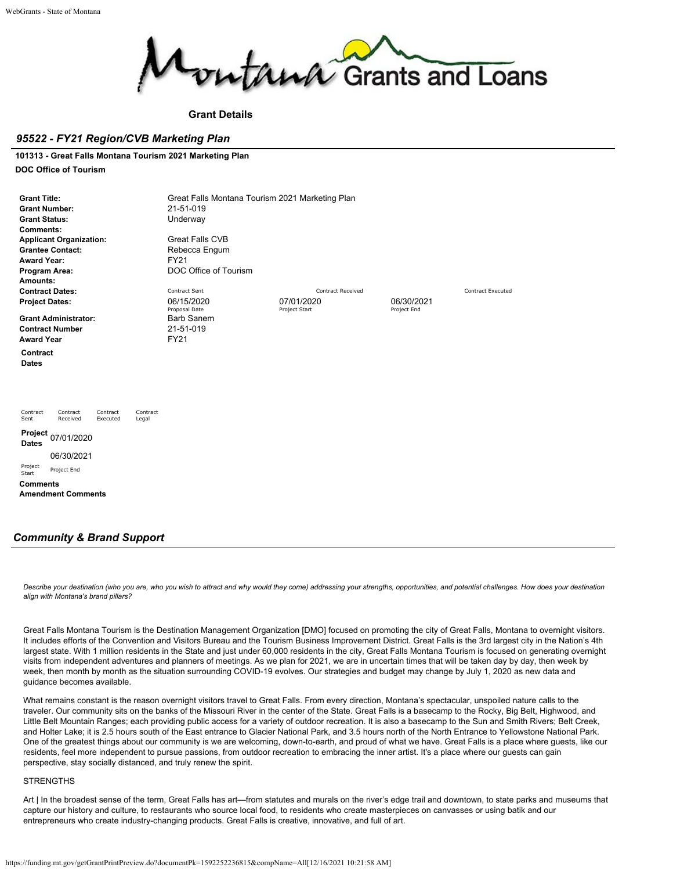

## **Grant Details**

## *95522 - FY21 Region/CVB Marketing Plan*

## **101313 - Great Falls Montana Tourism 2021 Marketing Plan**

#### **DOC Office of Tourism**

| <b>Grant Title:</b><br><b>Grant Number:</b><br><b>Grant Status:</b><br><b>Comments:</b><br><b>Applicant Organization:</b><br><b>Grantee Contact:</b><br><b>Award Year:</b><br>Program Area:<br>Amounts: | Great Falls Montana Tourism 2021 Marketing Plan<br>21-51-019<br>Underway<br><b>Great Falls CVB</b><br>Rebecca Engum<br><b>FY21</b><br>DOC Office of Tourism |                             |                           |                          |
|---------------------------------------------------------------------------------------------------------------------------------------------------------------------------------------------------------|-------------------------------------------------------------------------------------------------------------------------------------------------------------|-----------------------------|---------------------------|--------------------------|
| <b>Contract Dates:</b>                                                                                                                                                                                  | Contract Sent                                                                                                                                               | <b>Contract Received</b>    |                           | <b>Contract Executed</b> |
| <b>Project Dates:</b>                                                                                                                                                                                   | 06/15/2020<br>Proposal Date                                                                                                                                 | 07/01/2020<br>Project Start | 06/30/2021<br>Project End |                          |
| <b>Grant Administrator:</b>                                                                                                                                                                             | <b>Barb Sanem</b>                                                                                                                                           |                             |                           |                          |
| <b>Contract Number</b>                                                                                                                                                                                  | 21-51-019                                                                                                                                                   |                             |                           |                          |
| <b>Award Year</b>                                                                                                                                                                                       | <b>FY21</b>                                                                                                                                                 |                             |                           |                          |
| Contract<br><b>Dates</b>                                                                                                                                                                                |                                                                                                                                                             |                             |                           |                          |
| Contract<br>Contract<br>Contract<br>Contract<br>Sent<br>Received<br>Executed<br>Legal                                                                                                                   |                                                                                                                                                             |                             |                           |                          |
| Project<br>07/01/2020<br><b>Dates</b>                                                                                                                                                                   |                                                                                                                                                             |                             |                           |                          |
| 06/30/2021                                                                                                                                                                                              |                                                                                                                                                             |                             |                           |                          |
| Project<br>Project End<br>Start                                                                                                                                                                         |                                                                                                                                                             |                             |                           |                          |
| <b>Comments</b><br><b>Amendment Comments</b>                                                                                                                                                            |                                                                                                                                                             |                             |                           |                          |

## *Community & Brand Support*

*Describe your destination (who you are, who you wish to attract and why would they come) addressing your strengths, opportunities, and potential challenges. How does your destination align with Montana's brand pillars?*

Great Falls Montana Tourism is the Destination Management Organization [DMO] focused on promoting the city of Great Falls, Montana to overnight visitors. It includes efforts of the Convention and Visitors Bureau and the Tourism Business Improvement District. Great Falls is the 3rd largest city in the Nation's 4th largest state. With 1 million residents in the State and just under 60,000 residents in the city, Great Falls Montana Tourism is focused on generating overnight visits from independent adventures and planners of meetings. As we plan for 2021, we are in uncertain times that will be taken day by day, then week by week, then month by month as the situation surrounding COVID-19 evolves. Our strategies and budget may change by July 1, 2020 as new data and guidance becomes available.

What remains constant is the reason overnight visitors travel to Great Falls. From every direction, Montana's spectacular, unspoiled nature calls to the traveler. Our community sits on the banks of the Missouri River in the center of the State. Great Falls is a basecamp to the Rocky, Big Belt, Highwood, and Little Belt Mountain Ranges; each providing public access for a variety of outdoor recreation. It is also a basecamp to the Sun and Smith Rivers; Belt Creek, and Holter Lake; it is 2.5 hours south of the East entrance to Glacier National Park, and 3.5 hours north of the North Entrance to Yellowstone National Park. One of the greatest things about our community is we are welcoming, down-to-earth, and proud of what we have. Great Falls is a place where guests, like our residents, feel more independent to pursue passions, from outdoor recreation to embracing the inner artist. It's a place where our guests can gain perspective, stay socially distanced, and truly renew the spirit.

### **STRENGTHS**

Art | In the broadest sense of the term, Great Falls has art—from statutes and murals on the river's edge trail and downtown, to state parks and museums that capture our history and culture, to restaurants who source local food, to residents who create masterpieces on canvasses or using batik and our entrepreneurs who create industry-changing products. Great Falls is creative, innovative, and full of art.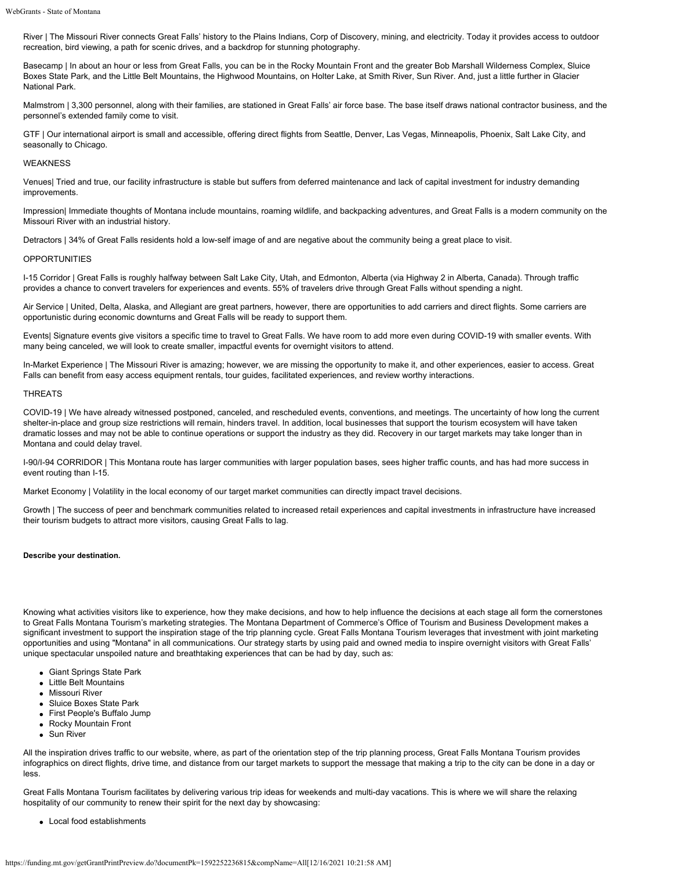River | The Missouri River connects Great Falls' history to the Plains Indians, Corp of Discovery, mining, and electricity. Today it provides access to outdoor recreation, bird viewing, a path for scenic drives, and a backdrop for stunning photography.

Basecamp | In about an hour or less from Great Falls, you can be in the Rocky Mountain Front and the greater Bob Marshall Wilderness Complex, Sluice Boxes State Park, and the Little Belt Mountains, the Highwood Mountains, on Holter Lake, at Smith River, Sun River. And, just a little further in Glacier National Park.

Malmstrom | 3,300 personnel, along with their families, are stationed in Great Falls' air force base. The base itself draws national contractor business, and the personnel's extended family come to visit.

GTF | Our international airport is small and accessible, offering direct flights from Seattle, Denver, Las Vegas, Minneapolis, Phoenix, Salt Lake City, and seasonally to Chicago.

## WEAKNESS

Venues| Tried and true, our facility infrastructure is stable but suffers from deferred maintenance and lack of capital investment for industry demanding improvements.

Impression| Immediate thoughts of Montana include mountains, roaming wildlife, and backpacking adventures, and Great Falls is a modern community on the Missouri River with an industrial history.

Detractors | 34% of Great Falls residents hold a low-self image of and are negative about the community being a great place to visit.

### OPPORTUNITIES

I-15 Corridor | Great Falls is roughly halfway between Salt Lake City, Utah, and Edmonton, Alberta (via Highway 2 in Alberta, Canada). Through traffic provides a chance to convert travelers for experiences and events. 55% of travelers drive through Great Falls without spending a night.

Air Service | United, Delta, Alaska, and Allegiant are great partners, however, there are opportunities to add carriers and direct flights. Some carriers are opportunistic during economic downturns and Great Falls will be ready to support them.

Events| Signature events give visitors a specific time to travel to Great Falls. We have room to add more even during COVID-19 with smaller events. With many being canceled, we will look to create smaller, impactful events for overnight visitors to attend.

In-Market Experience | The Missouri River is amazing; however, we are missing the opportunity to make it, and other experiences, easier to access. Great Falls can benefit from easy access equipment rentals, tour guides, facilitated experiences, and review worthy interactions.

### THREATS

COVID-19 | We have already witnessed postponed, canceled, and rescheduled events, conventions, and meetings. The uncertainty of how long the current shelter-in-place and group size restrictions will remain, hinders travel. In addition, local businesses that support the tourism ecosystem will have taken dramatic losses and may not be able to continue operations or support the industry as they did. Recovery in our target markets may take longer than in Montana and could delay travel.

I-90/I-94 CORRIDOR | This Montana route has larger communities with larger population bases, sees higher traffic counts, and has had more success in event routing than I-15.

Market Economy | Volatility in the local economy of our target market communities can directly impact travel decisions.

Growth | The success of peer and benchmark communities related to increased retail experiences and capital investments in infrastructure have increased their tourism budgets to attract more visitors, causing Great Falls to lag.

#### **Describe your destination.**

Knowing what activities visitors like to experience, how they make decisions, and how to help influence the decisions at each stage all form the cornerstones to Great Falls Montana Tourism's marketing strategies. The Montana Department of Commerce's Office of Tourism and Business Development makes a significant investment to support the inspiration stage of the trip planning cycle. Great Falls Montana Tourism leverages that investment with joint marketing opportunities and using "Montana" in all communications. Our strategy starts by using paid and owned media to inspire overnight visitors with Great Falls' unique spectacular unspoiled nature and breathtaking experiences that can be had by day, such as:

- Giant Springs State Park
- Little Belt Mountains
- Missouri River
- Sluice Boxes State Park
- First People's Buffalo Jump
- Rocky Mountain Front
- Sun River

All the inspiration drives traffic to our website, where, as part of the orientation step of the trip planning process, Great Falls Montana Tourism provides infographics on direct flights, drive time, and distance from our target markets to support the message that making a trip to the city can be done in a day or less.

Great Falls Montana Tourism facilitates by delivering various trip ideas for weekends and multi-day vacations. This is where we will share the relaxing hospitality of our community to renew their spirit for the next day by showcasing:

Local food establishments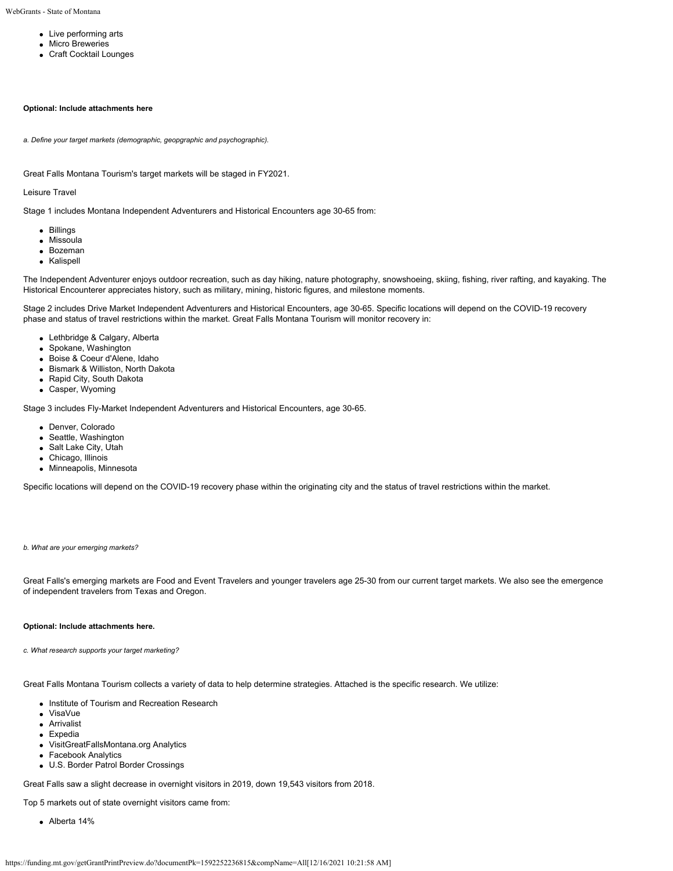- Live performing arts
- **•** Micro Breweries
- Craft Cocktail Lounges

## **Optional: Include attachments here**

*a. Define your target markets (demographic, geopgraphic and psychographic).*

Great Falls Montana Tourism's target markets will be staged in FY2021.

Leisure Travel

Stage 1 includes Montana Independent Adventurers and Historical Encounters age 30-65 from:

- Billings
- Missoula
- Bozeman
- Kalispell

The Independent Adventurer enjoys outdoor recreation, such as day hiking, nature photography, snowshoeing, skiing, fishing, river rafting, and kayaking. The Historical Encounterer appreciates history, such as military, mining, historic figures, and milestone moments.

Stage 2 includes Drive Market Independent Adventurers and Historical Encounters, age 30-65. Specific locations will depend on the COVID-19 recovery phase and status of travel restrictions within the market. Great Falls Montana Tourism will monitor recovery in:

- Lethbridge & Calgary, Alberta
- Spokane, Washington
- Boise & Coeur d'Alene, Idaho
- Bismark & Williston, North Dakota
- Rapid City, South Dakota
- Casper, Wyoming

Stage 3 includes Fly-Market Independent Adventurers and Historical Encounters, age 30-65.

- Denver, Colorado
- Seattle, Washington
- Salt Lake City, Utah
- Chicago, Illinois
- Minneapolis, Minnesota

Specific locations will depend on the COVID-19 recovery phase within the originating city and the status of travel restrictions within the market.

#### *b. What are your emerging markets?*

Great Falls's emerging markets are Food and Event Travelers and younger travelers age 25-30 from our current target markets. We also see the emergence of independent travelers from Texas and Oregon.

#### **Optional: Include attachments here.**

*c. What research supports your target marketing?*

Great Falls Montana Tourism collects a variety of data to help determine strategies. Attached is the specific research. We utilize:

- Institute of Tourism and Recreation Research
- VisaVue
- **Arrivalist**
- Expedia
- VisitGreatFallsMontana.org Analytics
- Facebook Analytics
- U.S. Border Patrol Border Crossings

Great Falls saw a slight decrease in overnight visitors in 2019, down 19,543 visitors from 2018.

Top 5 markets out of state overnight visitors came from:

Alberta 14%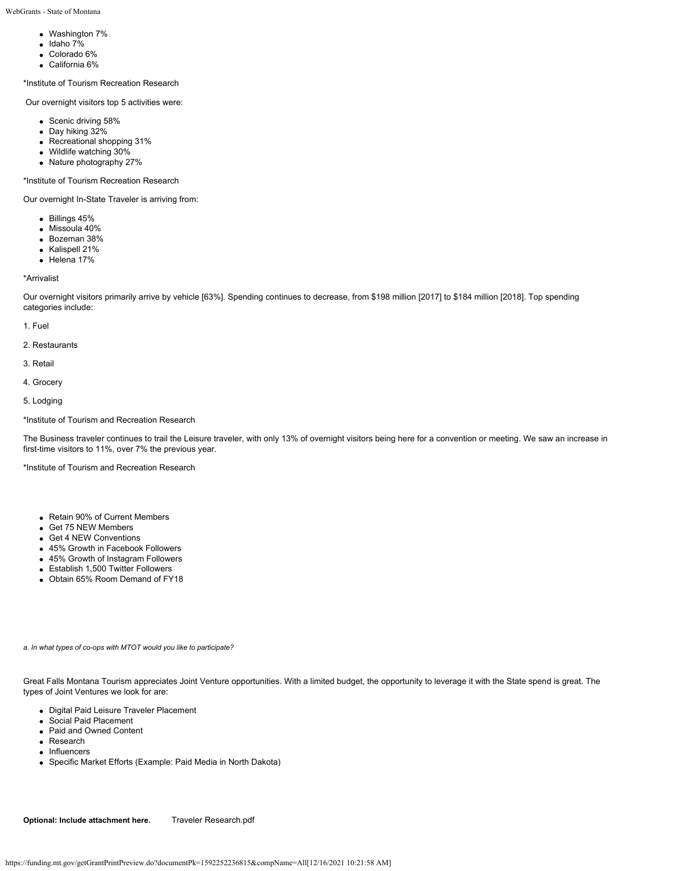- Washington 7%
- $\bullet$  Idaho 7%
- Colorado 6%
- California 6%

\*Institute of Tourism Recreation Research

Our overnight visitors top 5 activities were:

- Scenic driving 58%
- Day hiking 32%
- Recreational shopping 31%
- Wildlife watching 30%
- Nature photography 27%

\*Institute of Tourism Recreation Research

Our overnight In-State Traveler is arriving from:

- Billings 45%
- Missoula 40%
- Bozeman 38%
- Kalispell 21%
- $\bullet$  Helena 17%

\*Arrivalist

Our overnight visitors primarily arrive by vehicle [63%]. Spending continues to decrease, from \$198 million [2017] to \$184 million [2018]. Top spending categories include:

- 1. Fuel
- 2. Restaurants
- 3. Retail
- 4. Grocery
- 5. Lodging

### \*Institute of Tourism and Recreation Research

The Business traveler continues to trail the Leisure traveler, with only 13% of overnight visitors being here for a convention or meeting. We saw an increase in first-time visitors to 11%, over 7% the previous year.

\*Institute of Tourism and Recreation Research

- Retain 90% of Current Members
- Get 75 NEW Members
- Get 4 NEW Conventions
- 45% Growth in Facebook Followers
- 45% Growth of Instagram Followers
- Establish 1,500 Twitter Followers
- Obtain 65% Room Demand of FY18

*a. In what types of co-ops with MTOT would you like to participate?*

Great Falls Montana Tourism appreciates Joint Venture opportunities. With a limited budget, the opportunity to leverage it with the State spend is great. The types of Joint Ventures we look for are:

- Digital Paid Leisure Traveler Placement
- Social Paid Placement
- Paid and Owned Content
- Research
- Influencers
- Specific Market Efforts (Example: Paid Media in North Dakota)

**Optional: Include attachment here.** [Traveler Research.pdf](https://funding.mt.gov/fileDownload.jsp?filename=1588198457033_Traveler+Research.pdf)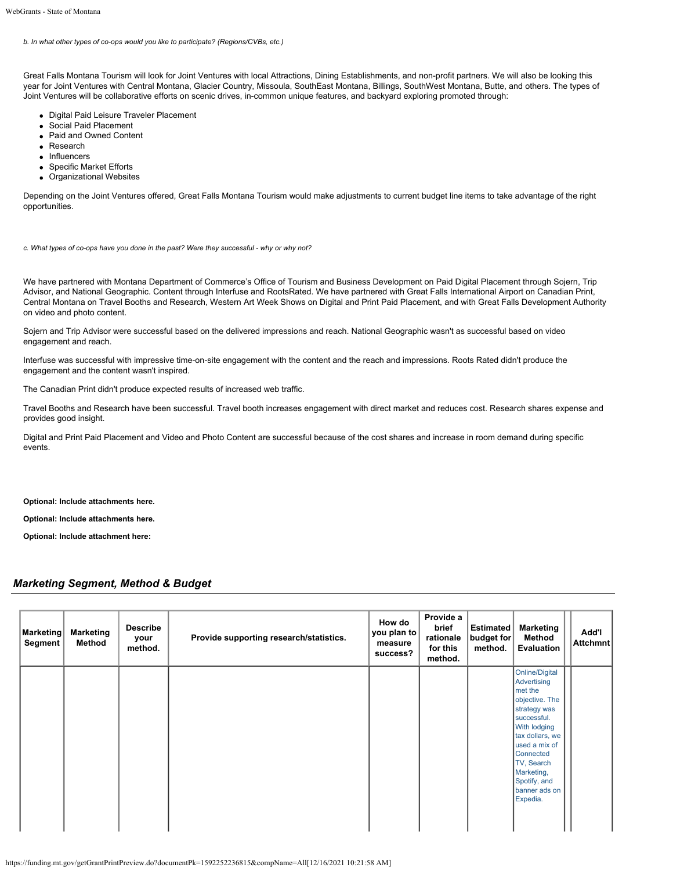## *b. In what other types of co-ops would you like to participate? (Regions/CVBs, etc.)*

Great Falls Montana Tourism will look for Joint Ventures with local Attractions, Dining Establishments, and non-profit partners. We will also be looking this year for Joint Ventures with Central Montana, Glacier Country, Missoula, SouthEast Montana, Billings, SouthWest Montana, Butte, and others. The types of Joint Ventures will be collaborative efforts on scenic drives, in-common unique features, and backyard exploring promoted through:

- Digital Paid Leisure Traveler Placement
- Social Paid Placement
- Paid and Owned Content
- Research
- Influencers
- Specific Market Efforts
- Organizational Websites

Depending on the Joint Ventures offered, Great Falls Montana Tourism would make adjustments to current budget line items to take advantage of the right opportunities.

*c. What types of co-ops have you done in the past? Were they successful - why or why not?*

We have partnered with Montana Department of Commerce's Office of Tourism and Business Development on Paid Digital Placement through Sojern, Trip Advisor, and National Geographic. Content through Interfuse and RootsRated. We have partnered with Great Falls International Airport on Canadian Print, Central Montana on Travel Booths and Research, Western Art Week Shows on Digital and Print Paid Placement, and with Great Falls Development Authority on video and photo content.

Sojern and Trip Advisor were successful based on the delivered impressions and reach. National Geographic wasn't as successful based on video engagement and reach.

Interfuse was successful with impressive time-on-site engagement with the content and the reach and impressions. Roots Rated didn't produce the engagement and the content wasn't inspired.

The Canadian Print didn't produce expected results of increased web traffic.

Travel Booths and Research have been successful. Travel booth increases engagement with direct market and reduces cost. Research shares expense and provides good insight.

Digital and Print Paid Placement and Video and Photo Content are successful because of the cost shares and increase in room demand during specific events.

**Optional: Include attachments here.**

**Optional: Include attachments here.**

**Optional: Include attachment here:**

## *Marketing Segment, Method & Budget*

| Marketing<br>Segment | <b>Marketing</b><br>Method | <b>Describe</b><br>your<br>method. | Provide supporting research/statistics. | How do<br>you plan to<br>measure<br>success? | Provide a<br>brief<br>rationale<br>for this<br>method. | Estimated<br>budget for<br>method. | <b>Marketing</b><br>Method<br>Evaluation                                                                                                                                                                                            | Add'l<br><b>Attchmnt</b> |
|----------------------|----------------------------|------------------------------------|-----------------------------------------|----------------------------------------------|--------------------------------------------------------|------------------------------------|-------------------------------------------------------------------------------------------------------------------------------------------------------------------------------------------------------------------------------------|--------------------------|
|                      |                            |                                    |                                         |                                              |                                                        |                                    | Online/Digital<br>Advertising<br>met the<br>objective. The<br>strategy was<br>successful.<br>With lodging<br>tax dollars, we<br>used a mix of<br>Connected<br>TV, Search<br>Marketing,<br>Spotify, and<br>banner ads on<br>Expedia. |                          |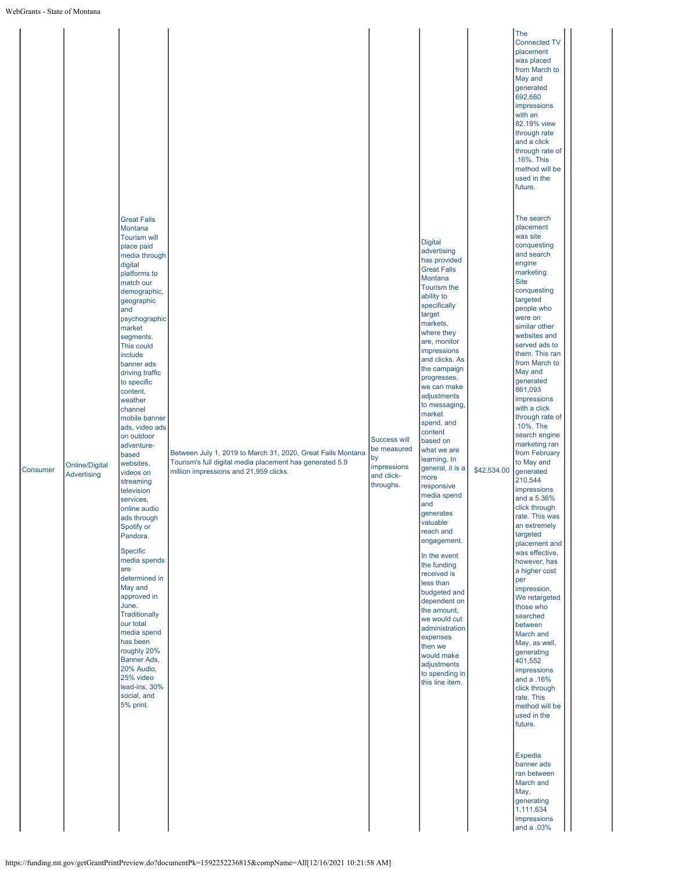|          |                                             |                                                                                                                                                                                                                                                                                                                                                                                                                                                                                                                                                                                                                                                                                                                                                                                     |                                                                                                                                                                   |                                                                                    |                                                                                                                                                                                                                                                                                                                                                                                                                                                                                                                                                                                                                                                                                                                                        |             | The<br>Connected T\<br>placement<br>was placed<br>from March to<br>May and<br>generated<br>692,660<br>impressions<br>with an<br>82.19% view<br>through rate<br>and a click<br>through rate of<br>.16%. This<br>method will be<br>used in the<br>future.                                                                                                                                                                                                                                                                                                                                                                                                                                                                                                                                                                                                                                                                                                                            |
|----------|---------------------------------------------|-------------------------------------------------------------------------------------------------------------------------------------------------------------------------------------------------------------------------------------------------------------------------------------------------------------------------------------------------------------------------------------------------------------------------------------------------------------------------------------------------------------------------------------------------------------------------------------------------------------------------------------------------------------------------------------------------------------------------------------------------------------------------------------|-------------------------------------------------------------------------------------------------------------------------------------------------------------------|------------------------------------------------------------------------------------|----------------------------------------------------------------------------------------------------------------------------------------------------------------------------------------------------------------------------------------------------------------------------------------------------------------------------------------------------------------------------------------------------------------------------------------------------------------------------------------------------------------------------------------------------------------------------------------------------------------------------------------------------------------------------------------------------------------------------------------|-------------|------------------------------------------------------------------------------------------------------------------------------------------------------------------------------------------------------------------------------------------------------------------------------------------------------------------------------------------------------------------------------------------------------------------------------------------------------------------------------------------------------------------------------------------------------------------------------------------------------------------------------------------------------------------------------------------------------------------------------------------------------------------------------------------------------------------------------------------------------------------------------------------------------------------------------------------------------------------------------------|
| Consumer | <b>Online/Digital</b><br><b>Advertising</b> | <b>Great Falls</b><br>Montana<br><b>Tourism will</b><br>place paid<br>media through<br>digital<br>platforms to<br>match our<br>demographic,<br>geographic<br>and<br>psychographic<br>market<br>segments.<br>This could<br>include<br>banner ads<br>driving traffic<br>to specific<br>content,<br>weather<br>channel<br>mobile banner<br>ads, video ads<br>on outdoor<br>adventure-<br>based<br>websites,<br>videos on<br>streaming<br>television<br>services,<br>online audio<br>ads through<br>Spotify or<br>Pandora.<br>Specific<br>media spends<br>are<br>determined in<br>May and<br>approved in<br>June.<br><b>Traditionally</b><br>our total<br>media spend<br>has been<br>roughly 20%<br>Banner Ads,<br>20% Audio,<br>25% video<br>lead-ins, 30%<br>social, and<br>5% print. | Between July 1, 2019 to March 31, 2020, Great Falls Montana<br>Tourism's full digital media placement has generated 5.9<br>million impressions and 21,959 clicks. | <b>Success will</b><br>be measured<br>by<br>impressions<br>and click-<br>throughs. | <b>Digital</b><br>advertising<br>has provided<br><b>Great Falls</b><br>Montana<br>Tourism the<br>ability to<br>specifically<br>target<br>markets,<br>where they<br>are, monitor<br>impressions<br>and clicks. As<br>the campaign<br>progresses,<br>we can make<br>adjustments<br>to messaging,<br>market<br>spend, and<br>content<br>based on<br>what we are<br>learning. In<br>general, it is a<br>more<br>responsive<br>media spend<br>and<br>generates<br>valuable<br>reach and<br>engagement.<br>In the event<br>the funding<br>received is<br>less than<br>budgeted and<br>dependent on<br>the amount,<br>we would cut<br>administration<br>expenses<br>then we<br>would make<br>adjustments<br>to spending in<br>this line item. | \$42,534.00 | The search<br>placement<br>was site<br>conquesting<br>and search<br>engine<br>marketing.<br><b>Site</b><br>conquesting<br>targeted<br>people who<br>were on<br>similar other<br>websites and<br>served ads to<br>them. This ran<br>from March to<br>May and<br>generated<br>861,093<br>impressions<br>with a click<br>through rate of<br>.10%. The<br>search engine<br>marketing ran<br>from February<br>to May and<br>generated<br>210,544<br>impressions<br>and a 5.36%<br>click through<br>rate. This was<br>an extremely<br>targeted<br>placement and<br>was effective,<br>however, has<br>a higher cost<br>per<br>impression.<br>We retargeted<br>those who<br>searched<br>between<br>March and<br>May, as well,<br>generating<br>401,552<br>impressions<br>and a .16%<br>click through<br>rate. This<br>method will be<br>used in the<br>future.<br><b>Expedia</b><br>banner ads<br>ran between<br>March and<br>May,<br>generating<br>1,111,634<br>impressions<br>and a .03% |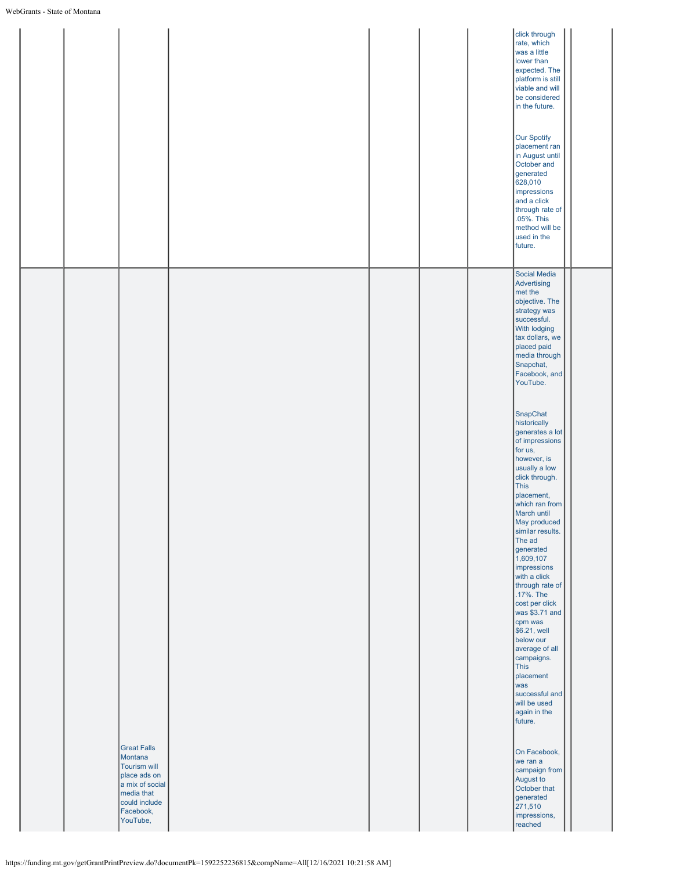|                                                                                                                                                 | click through<br>rate, which<br>was a little<br>lower than<br>expected. The<br>platform is still<br>viable and will<br>be considered<br>in the future.<br><b>Our Spotify</b><br>placement ran<br>in August until<br>October and<br>generated<br>628,010<br>impressions<br>and a click<br>through rate of<br>.05%. This<br>method will be<br>used in the<br>future. |
|-------------------------------------------------------------------------------------------------------------------------------------------------|--------------------------------------------------------------------------------------------------------------------------------------------------------------------------------------------------------------------------------------------------------------------------------------------------------------------------------------------------------------------|
|                                                                                                                                                 | Social Media<br>Advertising<br>met the<br>objective. The<br>strategy was<br>successful.<br>With lodging<br>tax dollars, we<br>placed paid<br>media through<br>Snapchat,<br>Facebook, and<br>YouTube.<br>SnapChat<br>historically<br>generates a lot<br>of impressions<br>for us,<br>however, is<br>usually a low                                                   |
|                                                                                                                                                 | click through.<br>This<br>placement,<br>which ran from<br>March until<br>May produced<br>similar results.<br>The ad<br>generated<br>1,609,107<br>impressions<br>with a click<br>through rate of<br>.17%. The<br>cost per click<br>was \$3.71 and<br>cpm was<br>\$6.21, well<br>below our<br>average of all<br>campaigns.<br>This                                   |
| <b>Great Falls</b><br>Montana<br><b>Tourism will</b><br>place ads on<br>a mix of social<br>media that<br>could include<br>Facebook,<br>YouTube, | placement<br>was<br>successful and<br>will be used<br>again in the<br>future.<br>On Facebook,<br>we ran a<br>campaign from<br>August to<br>October that<br>generated<br>271,510<br>impressions,<br>reached                                                                                                                                                         |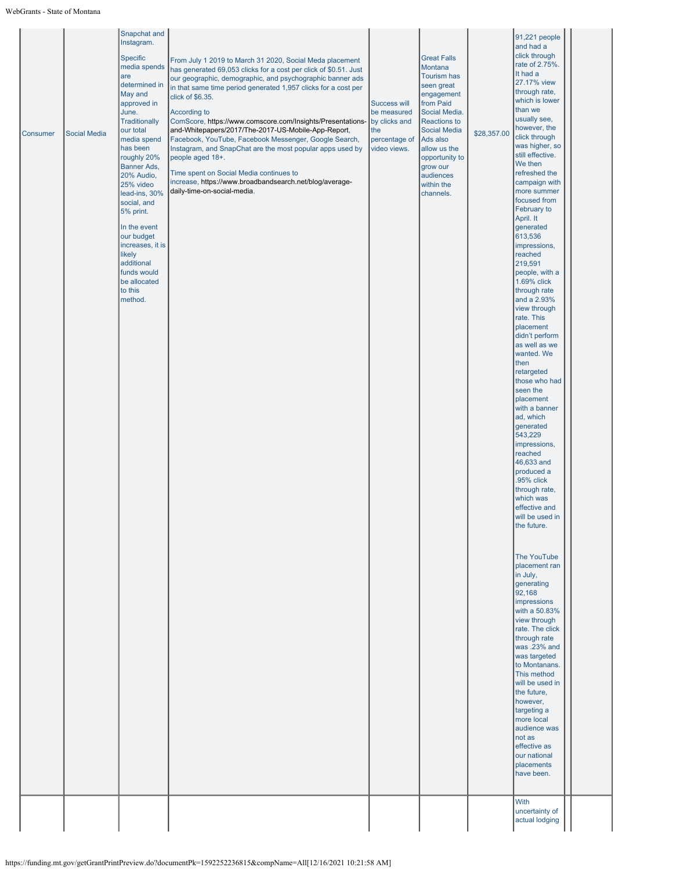| the future.<br>The YouTube<br>placement ran<br>in July,<br>generating<br>92,168<br>impressions<br>with a 50.83%<br>view through | will be used in | generated<br>543,229<br>impressions,<br>reached<br>46,633 and<br>produced a<br>.95% click<br>through rate,<br>which was<br>effective and | <b>Consumer</b> | <b>Social Media</b> | Snapchat and<br>Instagram.<br>Specific<br>media spends<br>are<br>determined in<br>May and<br>approved in<br>June.<br><b>Traditionally</b><br>our total<br>media spend<br>has been<br>roughly 20%<br>Banner Ads,<br>20% Audio,<br>25% video<br>lead-ins, 30%<br>social, and<br>5% print.<br>In the event<br>our budget<br>increases, it is<br>likely<br>additional<br>funds would<br>be allocated<br>to this<br>method. | From July 1 2019 to March 31 2020, Social Meda placement<br>has generated 69,053 clicks for a cost per click of \$0.51. Just<br>our geographic, demographic, and psychographic banner ads<br>in that same time period generated 1,957 clicks for a cost per<br>click of \$6.35.<br>According to<br>ComScore, https://www.comscore.com/Insights/Presentations-<br>and-Whitepapers/2017/The-2017-US-Mobile-App-Report,<br>Facebook, YouTube, Facebook Messenger, Google Search,<br>Instagram, and SnapChat are the most popular apps used by<br>people aged 18+.<br>Time spent on Social Media continues to<br>increase, https://www.broadbandsearch.net/blog/average-<br>daily-time-on-social-media. | <b>Success will</b><br>be measured<br>by clicks and<br>the<br>percentage of<br>video views. | <b>Great Falls</b><br>Montana<br><b>Tourism has</b><br>seen great<br>engagement<br>from Paid<br>Social Media.<br><b>Reactions to</b><br><b>Social Media</b><br>Ads also<br>allow us the<br>opportunity to<br>grow our<br>audiences<br>within the<br>channels. | \$28,357.00 | 91,221 people<br>and had a<br>click through<br>rate of 2.75%.<br>It had a<br>27.17% view<br>through rate,<br>which is lower<br>than we<br>usually see,<br>however, the<br>click through<br>was higher, so<br>still effective.<br>We then<br>refreshed the<br>campaign with<br>more summer<br>focused from<br>February to<br>April. It<br>generated<br>613,536<br>impressions,<br>reached<br>219,591<br>people, with a<br>1.69% click<br>through rate<br>and a 2.93%<br>view through<br>rate. This<br>placement<br>didn't perform<br>as well as we<br>wanted. We<br>then<br>retargeted<br>those who had<br>seen the<br>placement<br>with a banner<br>ad, which<br>rate. The click<br>through rate<br>was .23% and<br>was targeted<br>to Montanans.<br>This method<br>will be used in<br>the future,<br>however,<br>targeting a<br>more local<br>audience was<br>not as<br>effective as<br>our national |  |
|---------------------------------------------------------------------------------------------------------------------------------|-----------------|------------------------------------------------------------------------------------------------------------------------------------------|-----------------|---------------------|------------------------------------------------------------------------------------------------------------------------------------------------------------------------------------------------------------------------------------------------------------------------------------------------------------------------------------------------------------------------------------------------------------------------|-----------------------------------------------------------------------------------------------------------------------------------------------------------------------------------------------------------------------------------------------------------------------------------------------------------------------------------------------------------------------------------------------------------------------------------------------------------------------------------------------------------------------------------------------------------------------------------------------------------------------------------------------------------------------------------------------------|---------------------------------------------------------------------------------------------|---------------------------------------------------------------------------------------------------------------------------------------------------------------------------------------------------------------------------------------------------------------|-------------|-------------------------------------------------------------------------------------------------------------------------------------------------------------------------------------------------------------------------------------------------------------------------------------------------------------------------------------------------------------------------------------------------------------------------------------------------------------------------------------------------------------------------------------------------------------------------------------------------------------------------------------------------------------------------------------------------------------------------------------------------------------------------------------------------------------------------------------------------------------------------------------------------------|--|
|                                                                                                                                 |                 |                                                                                                                                          |                 |                     |                                                                                                                                                                                                                                                                                                                                                                                                                        |                                                                                                                                                                                                                                                                                                                                                                                                                                                                                                                                                                                                                                                                                                     |                                                                                             |                                                                                                                                                                                                                                                               |             |                                                                                                                                                                                                                                                                                                                                                                                                                                                                                                                                                                                                                                                                                                                                                                                                                                                                                                       |  |
|                                                                                                                                 |                 |                                                                                                                                          |                 |                     |                                                                                                                                                                                                                                                                                                                                                                                                                        |                                                                                                                                                                                                                                                                                                                                                                                                                                                                                                                                                                                                                                                                                                     |                                                                                             |                                                                                                                                                                                                                                                               |             |                                                                                                                                                                                                                                                                                                                                                                                                                                                                                                                                                                                                                                                                                                                                                                                                                                                                                                       |  |
|                                                                                                                                 |                 |                                                                                                                                          |                 |                     |                                                                                                                                                                                                                                                                                                                                                                                                                        |                                                                                                                                                                                                                                                                                                                                                                                                                                                                                                                                                                                                                                                                                                     |                                                                                             |                                                                                                                                                                                                                                                               |             |                                                                                                                                                                                                                                                                                                                                                                                                                                                                                                                                                                                                                                                                                                                                                                                                                                                                                                       |  |
|                                                                                                                                 |                 |                                                                                                                                          |                 |                     |                                                                                                                                                                                                                                                                                                                                                                                                                        |                                                                                                                                                                                                                                                                                                                                                                                                                                                                                                                                                                                                                                                                                                     |                                                                                             |                                                                                                                                                                                                                                                               |             |                                                                                                                                                                                                                                                                                                                                                                                                                                                                                                                                                                                                                                                                                                                                                                                                                                                                                                       |  |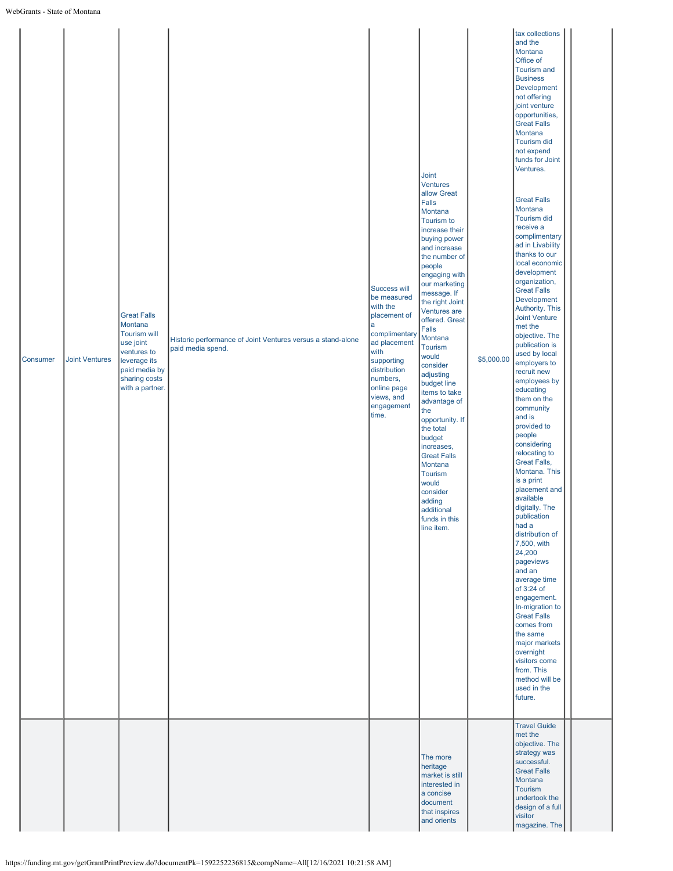| Consumer | <b>Joint Ventures</b> | <b>Great Falls</b><br>Montana<br><b>Tourism will</b><br>use joint<br>ventures to<br>leverage its<br>paid media by<br>sharing costs<br>with a partner. | Historic performance of Joint Ventures versus a stand-alone<br>paid media spend. | Success will<br>be measured<br>with the<br>placement of<br>a<br>complimentary<br>ad placement<br>with<br>supporting<br>distribution<br>numbers,<br>online page<br>views, and<br>engagement<br>time. | <b>Joint</b><br><b>Ventures</b><br>allow Great<br>Falls<br>Montana<br>Tourism to<br>increase their<br>buying power<br>and increase<br>the number of<br>people<br>engaging with<br>our marketing<br>message. If<br>the right Joint<br>Ventures are<br>offered. Great<br>Falls<br>Montana<br>Tourism<br>would<br>consider<br>adjusting<br>budget line<br>items to take<br>advantage of<br>the<br>opportunity. If<br>the total<br>budget<br>increases,<br><b>Great Falls</b><br>Montana<br>Tourism<br>would<br>consider<br>adding<br>additional<br>funds in this<br>line item. | \$5,000.00 | tax collections<br>and the<br>Montana<br>Office of<br><b>Tourism and</b><br><b>Business</b><br>Development<br>not offering<br>joint venture<br>opportunities,<br><b>Great Falls</b><br>Montana<br><b>Tourism did</b><br>not expend<br>funds for Joint<br>Ventures.<br><b>Great Falls</b><br>Montana<br><b>Tourism did</b><br>receive a<br>complimentary<br>ad in Livability<br>thanks to our<br>local economic<br>development<br>organization,<br><b>Great Falls</b><br>Development<br><b>Authority. This</b><br><b>Joint Venture</b><br>met the<br>objective. The<br>publication is<br>used by local<br>employers to<br>recruit new<br>employees by<br>educating<br>them on the<br>community<br>and is<br>provided to<br>people<br>considering<br>relocating to<br><b>Great Falls,</b><br>Montana. This<br>is a print<br>placement and<br>available<br>digitally. The<br>publication<br>had a<br>distribution of<br>7,500, with<br>24,200<br>pageviews<br>and an<br>average time<br>of 3:24 of<br>engagement.<br>In-migration to<br><b>Great Falls</b><br>comes from<br>the same<br>major markets<br>overnight<br>visitors come<br>from. This<br>method will be<br>used in the<br>future.<br><b>Travel Guide</b><br>met the |  |
|----------|-----------------------|-------------------------------------------------------------------------------------------------------------------------------------------------------|----------------------------------------------------------------------------------|-----------------------------------------------------------------------------------------------------------------------------------------------------------------------------------------------------|-----------------------------------------------------------------------------------------------------------------------------------------------------------------------------------------------------------------------------------------------------------------------------------------------------------------------------------------------------------------------------------------------------------------------------------------------------------------------------------------------------------------------------------------------------------------------------|------------|------------------------------------------------------------------------------------------------------------------------------------------------------------------------------------------------------------------------------------------------------------------------------------------------------------------------------------------------------------------------------------------------------------------------------------------------------------------------------------------------------------------------------------------------------------------------------------------------------------------------------------------------------------------------------------------------------------------------------------------------------------------------------------------------------------------------------------------------------------------------------------------------------------------------------------------------------------------------------------------------------------------------------------------------------------------------------------------------------------------------------------------------------------------------------------------------------------------------------|--|
|          |                       |                                                                                                                                                       |                                                                                  |                                                                                                                                                                                                     | The more<br>heritage<br>market is still<br>interested in<br>a concise<br>document<br>that inspires<br>and orients                                                                                                                                                                                                                                                                                                                                                                                                                                                           |            | objective. The<br>strategy was<br>successful.<br><b>Great Falls</b><br>Montana<br><b>Tourism</b><br>undertook the<br>design of a full<br>visitor<br>magazine. The                                                                                                                                                                                                                                                                                                                                                                                                                                                                                                                                                                                                                                                                                                                                                                                                                                                                                                                                                                                                                                                            |  |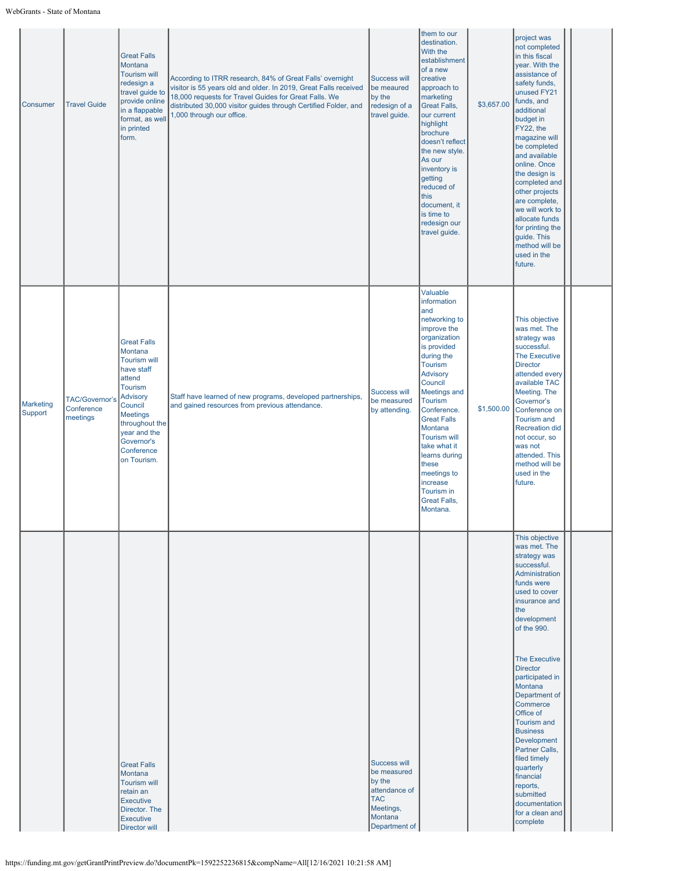| Consumer             | <b>Travel Guide</b>                      | <b>Great Falls</b><br>Montana<br><b>Tourism will</b><br>redesign a<br>travel guide to<br>provide online<br>in a flappable<br>format, as well<br>in printed<br>form.                                                          | According to ITRR research, 84% of Great Falls' overnight<br>visitor is 55 years old and older. In 2019, Great Falls received<br>18,000 requests for Travel Guides for Great Falls. We<br>distributed 30,000 visitor guides through Certified Folder, and<br>1,000 through our office. | Success will<br>be meaured<br>by the<br>redesign of a<br>travel guide.                                        | them to our<br>destination.<br>With the<br>establishment<br>of a new<br>creative<br>approach to<br>marketing<br><b>Great Falls,</b><br>our current<br>highlight<br>brochure<br>doesn't reflect<br>the new style.<br>As our<br>inventory is<br>getting<br>reduced of<br>this<br>document, it<br>is time to<br>redesign our<br>travel guide.                                          | \$3,657.00 | project was<br>not completed<br>in this fiscal<br>year. With the<br>assistance of<br>safety funds,<br>unused FY21<br>funds, and<br>additional<br>budget in<br>FY22, the<br>magazine will<br>be completed<br>and available<br>online. Once<br>the design is<br>completed and<br>other projects<br>are complete,<br>we will work to<br>allocate funds<br>for printing the<br>guide. This<br>method will be<br>used in the<br>future.                                                          |  |
|----------------------|------------------------------------------|------------------------------------------------------------------------------------------------------------------------------------------------------------------------------------------------------------------------------|----------------------------------------------------------------------------------------------------------------------------------------------------------------------------------------------------------------------------------------------------------------------------------------|---------------------------------------------------------------------------------------------------------------|-------------------------------------------------------------------------------------------------------------------------------------------------------------------------------------------------------------------------------------------------------------------------------------------------------------------------------------------------------------------------------------|------------|---------------------------------------------------------------------------------------------------------------------------------------------------------------------------------------------------------------------------------------------------------------------------------------------------------------------------------------------------------------------------------------------------------------------------------------------------------------------------------------------|--|
| Marketing<br>Support | TAC/Governor's<br>Conference<br>meetings | <b>Great Falls</b><br>Montana<br><b>Tourism will</b><br>have staff<br>attend<br><b>Tourism</b><br><b>Advisory</b><br>Council<br><b>Meetings</b><br>throughout the<br>year and the<br>Governor's<br>Conference<br>on Tourism. | Staff have learned of new programs, developed partnerships,<br>and gained resources from previous attendance.                                                                                                                                                                          | <b>Success will</b><br>be measured<br>by attending.                                                           | Valuable<br>information<br>and<br>networking to<br>improve the<br>organization<br>is provided<br>during the<br><b>Tourism</b><br>Advisory<br>Council<br>Meetings and<br><b>Tourism</b><br>Conference.<br><b>Great Falls</b><br>Montana<br><b>Tourism will</b><br>take what it<br>learns during<br>these<br>meetings to<br>increase<br>Tourism in<br><b>Great Falls,</b><br>Montana. | \$1,500.00 | This objective<br>was met. The<br>strategy was<br>successful.<br><b>The Executive</b><br><b>Director</b><br>attended every<br>available TAC<br>Meeting. The<br>Governor's<br>Conference on<br><b>Tourism and</b><br><b>Recreation did</b><br>not occur, so<br>was not<br>attended. This<br>method will be<br>used in the<br>future.                                                                                                                                                         |  |
|                      |                                          | <b>Great Falls</b><br>Montana<br><b>Tourism will</b><br>retain an<br><b>Executive</b><br>Director. The<br><b>Executive</b><br>Director will                                                                                  |                                                                                                                                                                                                                                                                                        | Success will<br>be measured<br>by the<br>attendance of<br><b>TAC</b><br>Meetings,<br>Montana<br>Department of |                                                                                                                                                                                                                                                                                                                                                                                     |            | This objective<br>was met. The<br>strategy was<br>successful.<br>Administration<br>funds were<br>used to cover<br>insurance and<br>the<br>development<br>of the 990.<br><b>The Executive</b><br><b>Director</b><br>participated in<br>Montana<br>Department of<br>Commerce<br>Office of<br><b>Tourism and</b><br><b>Business</b><br><b>Development</b><br>Partner Calls,<br>filed timely<br>quarterly<br>financial<br>reports,<br>submitted<br>documentation<br>for a clean and<br>complete |  |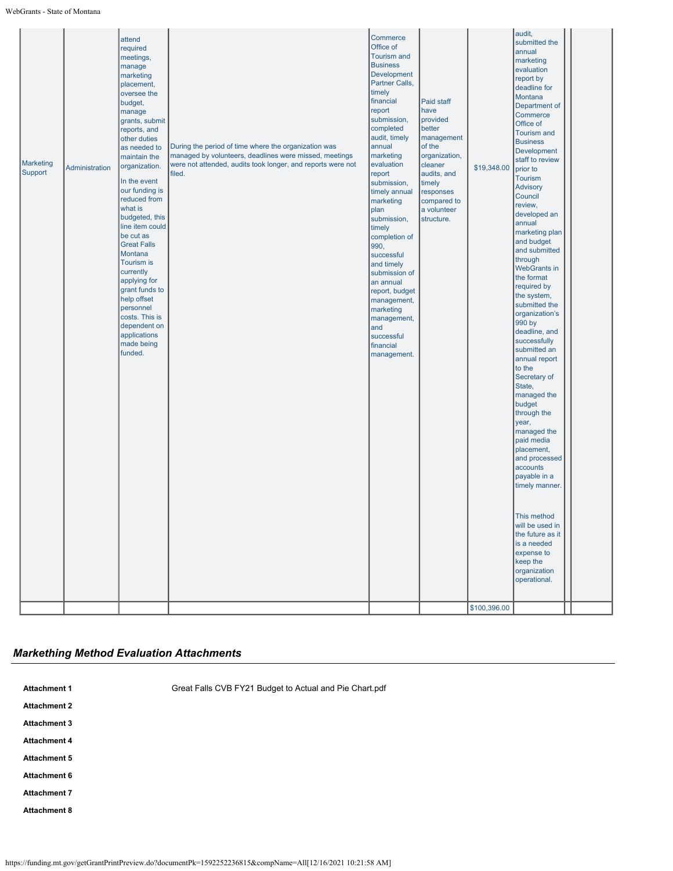| <b>Marketing</b><br>Support | Administration | attend<br>required<br>meetings,<br>manage<br>marketing<br>placement,<br>oversee the<br>budget,<br>manage<br>grants, submit<br>reports, and<br>other duties<br>as needed to<br>maintain the<br>organization.<br>In the event<br>our funding is<br>reduced from<br>what is<br>budgeted, this<br>line item could<br>be cut as<br><b>Great Falls</b><br>Montana<br><b>Tourism is</b><br>currently<br>applying for<br>grant funds to<br>help offset<br>personnel<br>costs. This is<br>dependent on<br>applications<br>made being<br>funded. | During the period of time where the organization was<br>managed by volunteers, deadlines were missed, meetings<br>were not attended, audits took longer, and reports were not<br>filed. | Commerce<br>Office of<br><b>Tourism and</b><br><b>Business</b><br><b>Development</b><br>Partner Calls,<br>timely<br>financial<br>report<br>submission,<br>completed<br>audit, timely<br>annual<br>marketing<br>evaluation<br>report<br>submission,<br>timely annual<br>marketing<br>plan<br>submission,<br>timely<br>completion of<br>990,<br>successful<br>and timely<br>submission of<br>an annual<br>report, budget<br>management,<br>marketing<br>management,<br>and<br>successful<br>financial<br>management. | Paid staff<br>have<br>provided<br>better<br>management<br>of the<br>organization,<br>cleaner<br>audits, and<br>timely<br>responses<br>compared to<br>a volunteer<br>structure. | \$19,348.00<br>\$100,396.00 | audit,<br>submitted the<br>annual<br>marketing<br>evaluation<br>report by<br>deadline for<br>Montana<br>Department of<br>Commerce<br>Office of<br><b>Tourism and</b><br><b>Business</b><br><b>Development</b><br>staff to review<br>prior to<br>Tourism<br><b>Advisory</b><br>Council<br>review,<br>developed an<br>annual<br>marketing plan<br>and budget<br>and submitted<br>through<br><b>WebGrants in</b><br>the format<br>required by<br>the system,<br>submitted the<br>organization's<br>990 by<br>deadline, and<br>successfully<br>submitted an<br>annual report<br>to the<br>Secretary of<br>State,<br>managed the<br>budget<br>through the<br>year,<br>managed the<br>paid media<br>placement,<br>and processed<br>accounts<br>payable in a<br>timely manner.<br>This method<br>will be used in<br>the future as it<br>is a needed<br>expense to<br>keep the<br>organization<br>operational. |  |
|-----------------------------|----------------|----------------------------------------------------------------------------------------------------------------------------------------------------------------------------------------------------------------------------------------------------------------------------------------------------------------------------------------------------------------------------------------------------------------------------------------------------------------------------------------------------------------------------------------|-----------------------------------------------------------------------------------------------------------------------------------------------------------------------------------------|--------------------------------------------------------------------------------------------------------------------------------------------------------------------------------------------------------------------------------------------------------------------------------------------------------------------------------------------------------------------------------------------------------------------------------------------------------------------------------------------------------------------|--------------------------------------------------------------------------------------------------------------------------------------------------------------------------------|-----------------------------|--------------------------------------------------------------------------------------------------------------------------------------------------------------------------------------------------------------------------------------------------------------------------------------------------------------------------------------------------------------------------------------------------------------------------------------------------------------------------------------------------------------------------------------------------------------------------------------------------------------------------------------------------------------------------------------------------------------------------------------------------------------------------------------------------------------------------------------------------------------------------------------------------------|--|
|-----------------------------|----------------|----------------------------------------------------------------------------------------------------------------------------------------------------------------------------------------------------------------------------------------------------------------------------------------------------------------------------------------------------------------------------------------------------------------------------------------------------------------------------------------------------------------------------------------|-----------------------------------------------------------------------------------------------------------------------------------------------------------------------------------------|--------------------------------------------------------------------------------------------------------------------------------------------------------------------------------------------------------------------------------------------------------------------------------------------------------------------------------------------------------------------------------------------------------------------------------------------------------------------------------------------------------------------|--------------------------------------------------------------------------------------------------------------------------------------------------------------------------------|-----------------------------|--------------------------------------------------------------------------------------------------------------------------------------------------------------------------------------------------------------------------------------------------------------------------------------------------------------------------------------------------------------------------------------------------------------------------------------------------------------------------------------------------------------------------------------------------------------------------------------------------------------------------------------------------------------------------------------------------------------------------------------------------------------------------------------------------------------------------------------------------------------------------------------------------------|--|

# *Markething Method Evaluation Attachments*

| <b>Attachment 1</b> | Great Falls CVB FY21 Budget to Actual and Pie Chart.pdf |
|---------------------|---------------------------------------------------------|
| <b>Attachment 2</b> |                                                         |
| <b>Attachment 3</b> |                                                         |
| <b>Attachment 4</b> |                                                         |
| <b>Attachment 5</b> |                                                         |
| Attachment 6        |                                                         |
| <b>Attachment 7</b> |                                                         |
| <b>Attachment 8</b> |                                                         |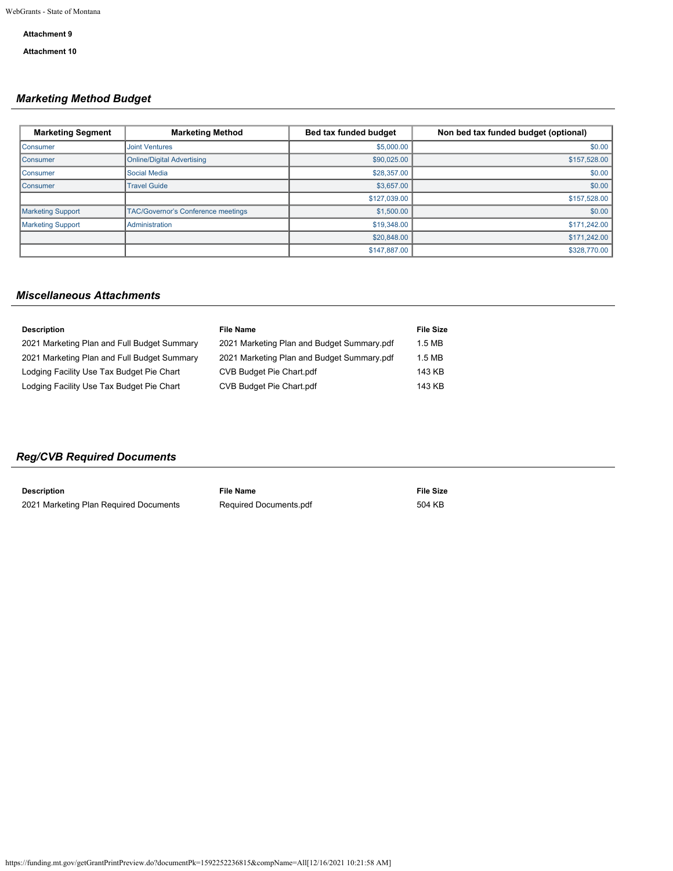## **Attachment 9**

**Attachment 10**

# *Marketing Method Budget*

| <b>Marketing Segment</b> | <b>Marketing Method</b>                   | Bed tax funded budget | Non bed tax funded budget (optional) |
|--------------------------|-------------------------------------------|-----------------------|--------------------------------------|
| <b>Consumer</b>          | <b>Joint Ventures</b>                     | \$5,000.00            | \$0.00                               |
| <b>Consumer</b>          | <b>Online/Digital Advertising</b>         | \$90,025.00           | \$157,528.00                         |
| Consumer                 | <b>Social Media</b>                       | \$28,357.00           | \$0.00                               |
| <b>Consumer</b>          | <b>Travel Guide</b>                       | \$3,657.00            | \$0.00                               |
|                          |                                           | \$127,039,00          | \$157,528.00                         |
| <b>Marketing Support</b> | <b>TAC/Governor's Conference meetings</b> | \$1,500.00            | \$0.00                               |
| <b>Marketing Support</b> | Administration                            | \$19,348.00           | \$171,242.00                         |
|                          |                                           | \$20,848.00           | \$171,242.00                         |
|                          |                                           | \$147,887.00          | \$328,770.00                         |

# *Miscellaneous Attachments*

| <b>Description</b>                          | <b>File Name</b>                           | File Size |
|---------------------------------------------|--------------------------------------------|-----------|
| 2021 Marketing Plan and Full Budget Summary | 2021 Marketing Plan and Budget Summary.pdf | 1.5 MB    |
| 2021 Marketing Plan and Full Budget Summary | 2021 Marketing Plan and Budget Summary.pdf | $1.5$ MB  |
| Lodging Facility Use Tax Budget Pie Chart   | CVB Budget Pie Chart.pdf                   | 143 KB    |
| Lodging Facility Use Tax Budget Pie Chart   | CVB Budget Pie Chart.pdf                   | 143 KB    |
|                                             |                                            |           |

# *Reg/CVB Required Documents*

| Description                            | File Name                     | <b>File Size</b> |
|----------------------------------------|-------------------------------|------------------|
| 2021 Marketing Plan Required Documents | <b>Required Documents.pdf</b> | 504 KB           |